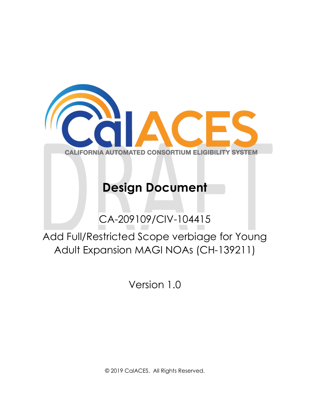

# **Design Document**

CA-209109/CIV-104415

Add Full/Restricted Scope verbiage for Young Adult Expansion MAGI NOAs (CH-139211)

Version 1.0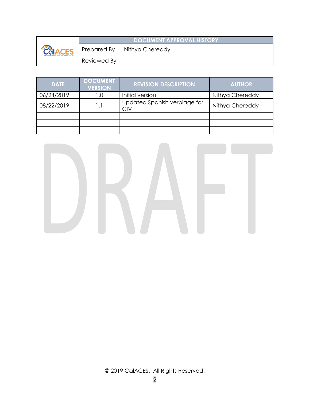|  |             | <b>DOCUMENT APPROVAL HISTORY</b> |
|--|-------------|----------------------------------|
|  |             | Prepared By   Nithya Chereddy    |
|  | Reviewed By |                                  |

| <b>DATE</b> | <b>DOCUMENT</b><br><b>VERSION</b> | <b>REVISION DESCRIPTION</b>         | <b>AUTHOR</b>   |
|-------------|-----------------------------------|-------------------------------------|-----------------|
| 06/24/2019  | 0. ا                              | Initial version                     | Nithya Chereddy |
| 08/22/2019  |                                   | Updated Spanish verbiage for<br>CIV | Nithya Chereddy |
|             |                                   |                                     |                 |
|             |                                   |                                     |                 |
|             |                                   |                                     |                 |

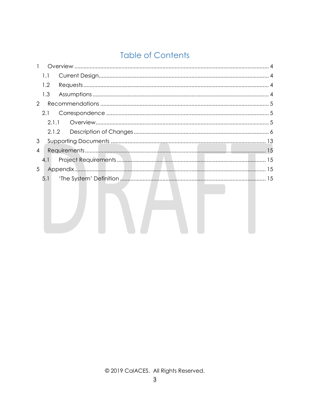## **Table of Contents**

| $\mathbf{1}$   |     |                                                                                 |  |
|----------------|-----|---------------------------------------------------------------------------------|--|
|                | 1.1 |                                                                                 |  |
|                | 1.2 |                                                                                 |  |
|                | 1.3 |                                                                                 |  |
| 2              |     |                                                                                 |  |
|                | 2.1 |                                                                                 |  |
|                |     | 2.1.1                                                                           |  |
|                |     |                                                                                 |  |
| 3              |     |                                                                                 |  |
| $\overline{4}$ |     |                                                                                 |  |
|                | 4.1 |                                                                                 |  |
| 5              |     |                                                                                 |  |
|                | 5.1 | the contract of the contract of the contract of the contract of the contract of |  |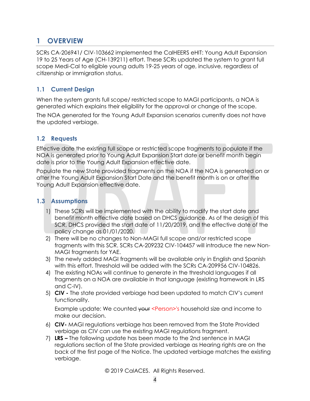## <span id="page-3-0"></span>**1 OVERVIEW**

SCRs CA-206941/ CIV-103662 implemented the CalHEERS eHIT: Young Adult Expansion 19 to 25 Years of Age (CH-139211) effort. These SCRs updated the system to grant full scope Medi-Cal to eligible young adults 19-25 years of age, inclusive, regardless of citizenship or immigration status.

## <span id="page-3-1"></span>**1.1 Current Design**

When the system grants full scope/ restricted scope to MAGI participants, a NOA is generated which explains their eligibility for the approval or change of the scope.

The NOA generated for the Young Adult Expansion scenarios currently does not have the updated verbiage.

## <span id="page-3-2"></span>**1.2 Requests**

Effective date the existing full scope or restricted scope fragments to populate if the NOA is generated prior to Young Adult Expansion Start date or benefit month begin date is prior to the Young Adult Expansion effective date.

Populate the new State provided fragments on the NOA if the NOA is generated on or after the Young Adult Expansion Start Date and the benefit month is on or after the Young Adult Expansion effective date.

### <span id="page-3-3"></span>**1.3 Assumptions**

- 1) These SCRs will be implemented with the ability to modify the start date and benefit month effective date based on DHCS guidance. As of the design of this SCR, DHCS provided the start date of 11/20/2019, and the effective date of the policy change as 01/01/2020.
- 2) There will be no changes to Non-MAGI full scope and/or restricted scope fragments with this SCR. SCRs CA-209232 CIV-104457 will introduce the new Non-MAGI fragments for YAE.
- 3) The newly added MAGI fragments will be available only in English and Spanish with this effort. Threshold will be added with the SCRs CA-209956 CIV-104826.
- 4) The existing NOAs will continue to generate in the threshold languages if all fragments on a NOA are available in that language (existing framework in LRS and C-IV).
- 5) **CIV -** The state provided verbiage had been updated to match CIV's current functionality.

Example update: We counted your <Person>'s household size and income to make our decision.

- 6) **CIV-** MAGI regulations verbiage has been removed from the State Provided verbiage as CIV can use the existing MAGI regulations fragment.
- 7) **LRS –** The following update has been made to the 2nd sentence in MAGI regulations section of the State provided verbiage as Hearing rights are on the back of the first page of the Notice. The updated verbiage matches the existing verbiage.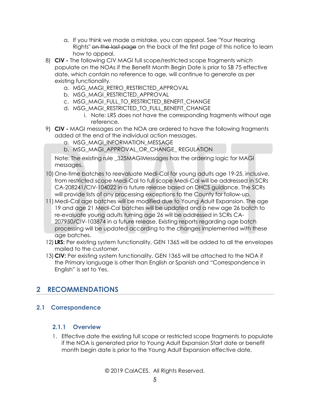- a. If you think we made a mistake, you can appeal. See "Your Hearing Rights" on the last page on the back of the first page of this notice to learn how to appeal.
- 8) **CIV -** The following CIV MAGI full scope/restricted scope fragments which populate on the NOAs if the Benefit Month Begin Date is prior to SB 75 effective date, which contain no reference to age, will continue to generate as per existing functionality.
	- a. MSG\_MAGI\_RETRO\_RESTRICTED\_APPROVAL
	- b. MSG\_MAGI\_RESTRICTED\_APPROVAL
	- c. MSG\_MAGI\_FULL\_TO\_RESTRICTED\_BENEFIT\_CHANGE
	- d. MSG\_MAGI\_RESTRICTED\_TO\_FULL\_BENEFIT\_CHANGE
		- i. Note: LRS does not have the corresponding fragments without age reference.
- 9) **CIV -** MAGI messages on the NOA are ordered to have the following fragments added at the end of the individual action messages.
	- a. MSG\_MAGI\_INFORMATION\_MESSAGE
	- b. MSG\_MAGI\_APPROVAL\_OR\_CHANGE\_ REGULATION

Note: The existing rule \_325MAGIMessages has the ordering logic for MAGI messages.

- 10) One-time batches to reevaluate Medi-Cal for young adults age 19-25, inclusive, from restricted scope Medi-Cal to full scope Medi-Cal will be addressed in SCRs CA-208241/CIV-104022 in a future release based on DHCS guidance. The SCRs will provide lists of any processing exceptions to the County for follow-up.
- 11)Medi-Cal age batches will be modified due to Young Adult Expansion. The age 19 and age 21 Medi-Cal batches will be updated and a new age 26 batch to re-evaluate young adults turning age 26 will be addressed in SCRs CA-207950/CIV-103874 in a future release. Existing reports regarding age batch processing will be updated according to the changes implemented with these age batches.
- 12) **LRS:** Per existing system functionality, GEN 1365 will be added to all the envelopes mailed to the customer.
- 13)**CIV:** Per existing system functionality, GEN 1365 will be attached to the NOA if the Primary language is other than English or Spanish and "Correspondence in English" is set to Yes.

## <span id="page-4-0"></span>**2 RECOMMENDATIONS**

#### <span id="page-4-2"></span><span id="page-4-1"></span>**2.1 Correspondence**

#### **2.1.1 Overview**

1. Effective date the existing full scope or restricted scope fragments to populate if the NOA is generated prior to Young Adult Expansion Start date or benefit month begin date is prior to the Young Adult Expansion effective date.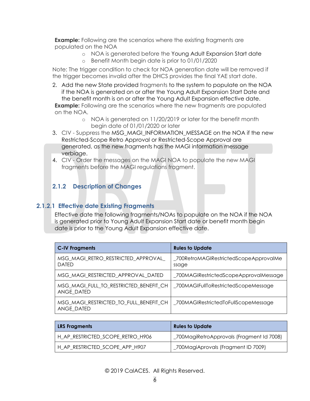**Example:** Following are the scenarios where the existing fragments are populated on the NOA

- o NOA is generated before the Young Adult Expansion Start date
- o Benefit Month begin date is prior to 01/01/2020

Note: The trigger condition to check for NOA generation date will be removed if the trigger becomes invalid after the DHCS provides the final YAE start date.

- 2. Add the new State provided fragments to the system to populate on the NOA if the NOA is generated on or after the Young Adult Expansion Start Date and the benefit month is on or after the Young Adult Expansion effective date. **Example:** Following are the scenarios where the new fragments are populated on the NOA.
	- o NOA is generated on 11/20/2019 or later for the benefit month begin date of 01/01/2020 or later
- 3. CIV Suppress the MSG\_MAGI\_INFORMATION\_MESSAGE on the NOA if the new Restricted-Scope Retro Approval or Restricted-Scope Approval are generated, as the new fragments has the MAGI information message verbiage.
- 4. CIV Order the messages on the MAGI NOA to populate the new MAGI fragments before the MAGI regulations fragment.

## <span id="page-5-0"></span>**2.1.2 Description of Changes**

#### **2.1.2.1 Effective date Existing Fragments**

Effective date the following fragments/NOAs to populate on the NOA if the NOA is generated prior to Young Adult Expansion Start date or benefit month begin date is prior to the Young Adult Expansion effective date.

| <b>C-IV Fragments</b>                                | <b>Rules to Update</b>                          |
|------------------------------------------------------|-------------------------------------------------|
| MSG_MAGI_RETRO_RESTRICTED_APPROVAL_<br><b>DATED</b>  | _700RetroMAGIRestrictedScopeApprovalMe<br>ssage |
| MSG MAGI RESTRICTED APPROVAL DATED                   | _700MAGIRestrictedScopeApprovalMessage          |
| MSG MAGI FULL TO RESTRICTED BENEFIT CH<br>ANGE DATED | 700MAGIFullToRestrictedScopeMessage             |
| MSG MAGI RESTRICTED TO FULL BENEFIT CH<br>ANGE DATED | _700MAGIRestrictedToFullScopeMessage            |

| <b>LRS Fragments</b>             | <b>Rules to Update</b>                    |
|----------------------------------|-------------------------------------------|
| H_AP_RESTRICTED_SCOPE_RETRO_H906 | _700MagiRetroApprovals (Fragment Id 7008) |
| H_AP_RESTRICTED_SCOPE_APP_H907   | _700MagiAprovals (Fragment ID 7009)       |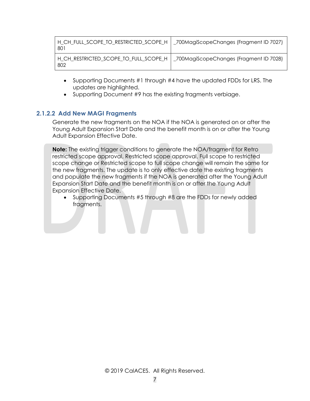| H_CH_FULL_SCOPE_TO_RESTRICTED_SCOPE_H   _700MagiScopeChanges (Fragment ID 7027)<br>80 <sup>-</sup> |  |
|----------------------------------------------------------------------------------------------------|--|
| H_CH_RESTRICTED_SCOPE_TO_FULL_SCOPE_H   _700MagiScopeChanges (Fragment ID 7028)<br>802             |  |

- Supporting Documents #1 through #4 have the updated FDDs for LRS. The updates are highlighted.
- Supporting Document #9 has the existing fragments verbiage.

#### **2.1.2.2 Add New MAGI Fragments**

Generate the new fragments on the NOA if the NOA is generated on or after the Young Adult Expansion Start Date and the benefit month is on or after the Young Adult Expansion Effective Date.

**Note:** The existing trigger conditions to generate the NOA/fragment for Retro restricted scope approval, Restricted scope approval, Full scope to restricted scope change or Restricted scope to full scope change will remain the same for the new fragments. The update is to only effective date the existing fragments and populate the new fragments if the NOA is generated after the Young Adult Expansion Start Date and the benefit month is on or after the Young Adult Expansion Effective Date.

• Supporting Documents #5 through #8 are the FDDs for newly added fragments.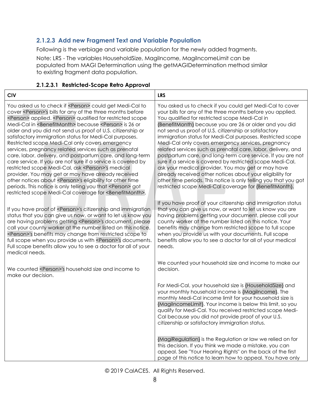## **2.1.2.3 Add new Fragment Text and Variable Population**

Following is the verbiage and variable population for the newly added fragments.

Note: LRS - The variables HouseholdSize, MagiIncome, MagiIncomeLimit can be populated from MAGI Determination using the getMAGIDetermination method similar to existing fragment data population.

| <b>CIV</b>                                                                                                                                                                                                                                                                                                                                                                                                                                                                                                                                                                                                                                                                                                                                                                                                                                                                                                                                                                                                                     | <b>LRS</b>                                                                                                                                                                                                                                                                                                                                                                                                                                                                                                                                                                                                                                                                                                                                                                                                                                                    |
|--------------------------------------------------------------------------------------------------------------------------------------------------------------------------------------------------------------------------------------------------------------------------------------------------------------------------------------------------------------------------------------------------------------------------------------------------------------------------------------------------------------------------------------------------------------------------------------------------------------------------------------------------------------------------------------------------------------------------------------------------------------------------------------------------------------------------------------------------------------------------------------------------------------------------------------------------------------------------------------------------------------------------------|---------------------------------------------------------------------------------------------------------------------------------------------------------------------------------------------------------------------------------------------------------------------------------------------------------------------------------------------------------------------------------------------------------------------------------------------------------------------------------------------------------------------------------------------------------------------------------------------------------------------------------------------------------------------------------------------------------------------------------------------------------------------------------------------------------------------------------------------------------------|
| You asked us to check if <person> could get Medi-Cal to<br/>cover <person>'s bills for any of the three months before<br/><person> applied. <person> qualified for restricted scope<br/>Medi-Cal in <benefitmonth> because <person> is 26 or<br/>older and you did not send us proof of U.S. citizenship or<br/>satisfactory immigration status for Medi-Cal purposes.<br/>Restricted scope Medi-Cal only covers emergency<br/>services, pregnancy related services such as prenatal<br/>care, labor, delivery, and postpartum care, and long-term<br/>care service. If you are not sure if a service is covered by<br/>restricted scope Medi-Cal, ask <person>'s medical<br/>provider. You may get or may have already received<br/>other notices about <person>'s eligibility for other time<br/>periods. This notice is only telling you that <person> got<br/>restricted scope Medi-Cal coverage for <benefitmonth>.</benefitmonth></person></person></person></person></benefitmonth></person></person></person></person> | You asked us to check if you could get Medi-Cal to cover<br>your bills for any of the three months before you applied.<br>You qualified for restricted scope Medi-Cal in<br>{BenefitMonth} because you are 26 or older and you did<br>not send us proof of U.S. citizenship or satisfactory<br>immigration status for Medi-Cal purposes. Restricted scope<br>Medi-Cal only covers emergency services, pregnancy<br>related services such as prenatal care, labor, delivery, and<br>postpartum care, and long-term care service. If you are not<br>sure if a service is covered by restricted scope Medi-Cal,<br>ask your medical provider. You may get or may have<br>already received other notices about your eligibility for<br>other time periods. This notice is only telling you that you got<br>restricted scope Medi-Cal coverage for {BenefitMonth}. |
| If you have proof of <person>'s citizenship and immigration<br/>status that you can give us now, or want to let us know you<br/>are having problems getting <person>'s document, please<br/>call your county worker at the number listed on this notice.<br/><person>'s benefits may change from restricted scope to<br/>full scope when you provide us with <person>'s documents.<br/>Full scope benefits allow you to see a doctor for all of your<br/>medical needs.</person></person></person></person>                                                                                                                                                                                                                                                                                                                                                                                                                                                                                                                    | If you have proof of your citizenship and immigration status<br>that you can give us now, or want to let us know you are<br>having problems getting your document, please call your<br>county worker at the number listed on this notice. Your<br>benefits may change from restricted scope to full scope<br>when you provide us with your documents. Full scope<br>benefits allow you to see a doctor for all of your medical<br>needs.                                                                                                                                                                                                                                                                                                                                                                                                                      |
| We counted <person>'s household size and income to<br/>make our decision.</person>                                                                                                                                                                                                                                                                                                                                                                                                                                                                                                                                                                                                                                                                                                                                                                                                                                                                                                                                             | We counted your household size and income to make our<br>decision.                                                                                                                                                                                                                                                                                                                                                                                                                                                                                                                                                                                                                                                                                                                                                                                            |
|                                                                                                                                                                                                                                                                                                                                                                                                                                                                                                                                                                                                                                                                                                                                                                                                                                                                                                                                                                                                                                | For Medi-Cal, your household size is {Household Size} and<br>your monthly household income is {Magilncome}. The<br>monthly Medi-Cal income limit for your household size is<br>{MagilncomeLimit}. Your income is below this limit, so you<br>qualify for Medi-Cal. You received restricted scope Medi-<br>Cal because you did not provide proof of your U.S.<br>citizenship or satisfactory immigration status.                                                                                                                                                                                                                                                                                                                                                                                                                                               |
|                                                                                                                                                                                                                                                                                                                                                                                                                                                                                                                                                                                                                                                                                                                                                                                                                                                                                                                                                                                                                                | {MagiRegulation} is the Regulation or law we relied on for<br>this decision. If you think we made a mistake, you can<br>appeal. See "Your Hearing Rights" on the back of the first<br>page of this notice to learn how to appeal. You have only                                                                                                                                                                                                                                                                                                                                                                                                                                                                                                                                                                                                               |

#### **2.1.2.3.1 Restricted-Scope Retro Approval**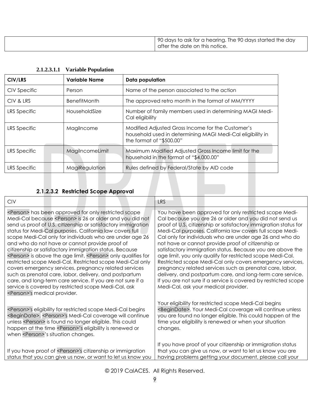| 90 days to ask for a hearing. The 90 days started the day<br>after the date on this notice. |
|---------------------------------------------------------------------------------------------|

| CIV/LRS      | <b>Variable Name</b> | Data population                                                                                                                             |  |
|--------------|----------------------|---------------------------------------------------------------------------------------------------------------------------------------------|--|
| CIV Specific | Person               | Name of the person associated to the action                                                                                                 |  |
| CIV & LRS    | <b>BenefitMonth</b>  | The approved retro month in the format of MM/YYYY                                                                                           |  |
| LRS Specific | HouseholdSize        | Number of family members used in determining MAGI Medi-<br>Cal eligibility                                                                  |  |
| LRS Specific | Magilncome           | Modified Adjusted Gross Income for the Customer's<br>household used in determining MAGI Medi-Cal eligibility in<br>the format of "\$500.00" |  |
| LRS Specific | MagilncomeLimit      | Maximum Modified Adjusted Gross Income limit for the<br>household in the format of "\$4,000.00"                                             |  |
| LRS Specific | MagiRegulation       | Rules defined by Federal/State by AID code                                                                                                  |  |

**2.1.2.3.1.1 Variable Population**

## **2.1.2.3.2 Restricted Scope Approval**

| <b>CIV</b>                                                                                                                                                                                                                                                                                                                                                                                                                                                                                                                                                                                                                                                                                                                                                                                                                                                                             | <b>LRS</b>                                                                                                                                                                                                                                                                                                                                                                                                                                                                                                                                                                                                                                                                                                                                                                                         |
|----------------------------------------------------------------------------------------------------------------------------------------------------------------------------------------------------------------------------------------------------------------------------------------------------------------------------------------------------------------------------------------------------------------------------------------------------------------------------------------------------------------------------------------------------------------------------------------------------------------------------------------------------------------------------------------------------------------------------------------------------------------------------------------------------------------------------------------------------------------------------------------|----------------------------------------------------------------------------------------------------------------------------------------------------------------------------------------------------------------------------------------------------------------------------------------------------------------------------------------------------------------------------------------------------------------------------------------------------------------------------------------------------------------------------------------------------------------------------------------------------------------------------------------------------------------------------------------------------------------------------------------------------------------------------------------------------|
| <person> has been approved for only restricted scope<br/>Medi-Cal because <person> is 26 or older and you did not<br/>send us proof of U.S. citizenship or satisfactory immigration<br/>status for Medi-Cal purposes. California law covers full<br/>scope Medi-Cal only for individuals who are under age 26<br/>and who do not have or cannot provide proof of<br/>citizenship or satisfactory immigration status. Because<br/><person> is above the age limit, <person> only qualifies for<br/>restricted scope Medi-Cal. Restricted scope Medi-Cal only<br/>covers emergency services, pregnancy related services<br/>such as prenatal care, labor, delivery, and postpartum<br/>care, and long-term care service. If you are not sure if a<br/>service is covered by restricted scope Medi-Cal, ask<br/><person>'s medical provider.</person></person></person></person></person> | You have been approved for only restricted scope Medi-<br>Cal because you are 26 or older and you did not send us<br>proof of U.S. citizenship or satisfactory immigration status for<br>Medi-Cal purposes. California law covers full scope Medi-<br>Cal only for individuals who are under age 26 and who do<br>not have or cannot provide proof of citizenship or<br>satisfactory immigration status. Because you are above the<br>age limit, you only qualify for restricted scope Medi-Cal.<br>Restricted scope Medi-Cal only covers emergency services,<br>pregnancy related services such as prenatal care, labor,<br>delivery, and postpartum care, and long-term care service.<br>If you are not sure if a service is covered by restricted scope<br>Medi-Cal, ask your medical provider. |
| <person>'s eligibility for restricted scope Medi-Cal begins<br/><begindate>. <person>'s Medi-Cal coverage will continue<br/>unless <person> is found no longer eligible. This could<br/>happen at the time <person>'s eligibility is renewed or<br/>when <person>'s situation changes.</person></person></person></person></begindate></person>                                                                                                                                                                                                                                                                                                                                                                                                                                                                                                                                        | Your eligibility for restricted scope Medi-Cal begins<br><begindate>. Your Medi-Cal coverage will continue unless<br/>you are found no longer eligible. This could happen at the<br/>time your eligibility is renewed or when your situation<br/>changes.</begindate>                                                                                                                                                                                                                                                                                                                                                                                                                                                                                                                              |
| If you have proof of <person>'s citizenship or immigration<br/>status that you can give us now, or want to let us know you</person>                                                                                                                                                                                                                                                                                                                                                                                                                                                                                                                                                                                                                                                                                                                                                    | If you have proof of your citizenship or immigration status<br>that you can give us now, or want to let us know you are<br>having problems getting your document, please call your                                                                                                                                                                                                                                                                                                                                                                                                                                                                                                                                                                                                                 |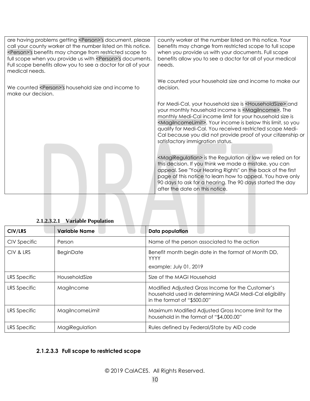| are having problems getting <person>'s document, please<br/>call your county worker at the number listed on this notice.<br/><person>'s benefits may change from restricted scope to<br/>full scope when you provide us with <person>'s documents.<br/>Full scope benefits allow you to see a doctor for all of your<br/>medical needs.</person></person></person> | county worker at the number listed on this notice. Your<br>benefits may change from restricted scope to full scope<br>when you provide us with your documents. Full scope<br>benefits allow you to see a doctor for all of your medical<br>needs.                                                                                                                                                                                                              |
|--------------------------------------------------------------------------------------------------------------------------------------------------------------------------------------------------------------------------------------------------------------------------------------------------------------------------------------------------------------------|----------------------------------------------------------------------------------------------------------------------------------------------------------------------------------------------------------------------------------------------------------------------------------------------------------------------------------------------------------------------------------------------------------------------------------------------------------------|
| We counted <person>'s household size and income to<br/>make our decision.</person>                                                                                                                                                                                                                                                                                 | We counted your household size and income to make our<br>decision.                                                                                                                                                                                                                                                                                                                                                                                             |
|                                                                                                                                                                                                                                                                                                                                                                    | For Medi-Cal, your household size is <householdsize> and<br/>your monthly household income is <magilncome>. The<br/>monthly Medi-Cal income limit for your household size is<br/><magilncomelimit>. Your income is below this limit, so you<br/>qualify for Medi-Cal. You received restricted scope Medi-<br/>Cal because you did not provide proof of your citizenship or<br/>satisfactory immigration status.</magilncomelimit></magilncome></householdsize> |
|                                                                                                                                                                                                                                                                                                                                                                    | <magiregulation> is the Regulation or law we relied on for<br/>this decision. If you think we made a mistake, you can<br/>appeal. See "Your Hearing Rights" on the back of the first<br/>page of this notice to learn how to appeal. You have only<br/>90 days to ask for a hearing. The 90 days started the day<br/>after the date on this notice.</magiregulation>                                                                                           |

| <b>CIV/LRS</b>      | <b>Variable Name</b> | Data population                                                                                                                             |
|---------------------|----------------------|---------------------------------------------------------------------------------------------------------------------------------------------|
| <b>CIV Specific</b> | Person               | Name of the person associated to the action                                                                                                 |
| CIV & LRS           | <b>BeginDate</b>     | Benefit month begin date in the format of Month DD,<br><b>YYYY</b><br>example: July 01, 2019                                                |
| LRS Specific        | HouseholdSize        | Size of the MAGI Household                                                                                                                  |
| LRS Specific        | Magilncome           | Modified Adjusted Gross Income for the Customer's<br>household used in determining MAGI Medi-Cal eligibility<br>in the format of "\$500.00" |
| <b>LRS Specific</b> | MagilncomeLimit      | Maximum Modified Adjusted Gross Income limit for the<br>household in the format of "\$4,000.00"                                             |
| LRS Specific        | MagiRegulation       | Rules defined by Federal/State by AID code                                                                                                  |

## **2.1.2.3.2.1 Variable Population**

## **2.1.2.3.3 Full scope to restricted scope**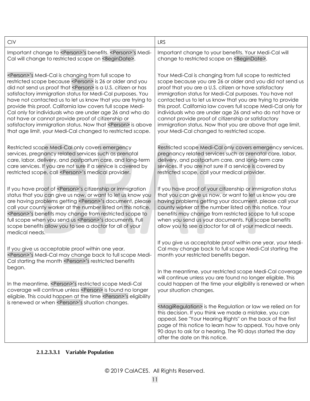| <b>CIV</b>                                                                                                                                                                                                                                                                                                                                                                                                                                                                                         | <b>LRS</b>                                                                                                                                                                                                                                                                                                                                                                                                                   |
|----------------------------------------------------------------------------------------------------------------------------------------------------------------------------------------------------------------------------------------------------------------------------------------------------------------------------------------------------------------------------------------------------------------------------------------------------------------------------------------------------|------------------------------------------------------------------------------------------------------------------------------------------------------------------------------------------------------------------------------------------------------------------------------------------------------------------------------------------------------------------------------------------------------------------------------|
| Important change to <person>'s benefits. <person>'s Medi-</person></person>                                                                                                                                                                                                                                                                                                                                                                                                                        | Important change to your benefits. Your Medi-Cal will                                                                                                                                                                                                                                                                                                                                                                        |
| Cal will change to restricted scope on <begindate>.</begindate>                                                                                                                                                                                                                                                                                                                                                                                                                                    | change to restricted scope on <begindate>.</begindate>                                                                                                                                                                                                                                                                                                                                                                       |
| <person>'s Medi-Cal is changing from full scope to</person>                                                                                                                                                                                                                                                                                                                                                                                                                                        | Your Medi-Cal is changing from full scope to restricted                                                                                                                                                                                                                                                                                                                                                                      |
| restricted scope because <person> is 26 or older and you</person>                                                                                                                                                                                                                                                                                                                                                                                                                                  | scope because you are 26 or older and you did not send us                                                                                                                                                                                                                                                                                                                                                                    |
| did not send us proof that <person> is a U.S. citizen or has</person>                                                                                                                                                                                                                                                                                                                                                                                                                              | proof that you are a U.S. citizen or have satisfactory                                                                                                                                                                                                                                                                                                                                                                       |
| satisfactory immigration status for Medi-Cal purposes. You                                                                                                                                                                                                                                                                                                                                                                                                                                         | immigration status for Medi-Cal purposes. You have not                                                                                                                                                                                                                                                                                                                                                                       |
| have not contacted us to let us know that you are trying to                                                                                                                                                                                                                                                                                                                                                                                                                                        | contacted us to let us know that you are trying to provide                                                                                                                                                                                                                                                                                                                                                                   |
| provide this proof. California law covers full scope Medi-                                                                                                                                                                                                                                                                                                                                                                                                                                         | this proof. California law covers full scope Medi-Cal only for                                                                                                                                                                                                                                                                                                                                                               |
| Cal only for individuals who are under age 26 and who do                                                                                                                                                                                                                                                                                                                                                                                                                                           | individuals who are under age 26 and who do not have or                                                                                                                                                                                                                                                                                                                                                                      |
| not have or cannot provide proof of citizenship or                                                                                                                                                                                                                                                                                                                                                                                                                                                 | cannot provide proof of citizenship or satisfactory                                                                                                                                                                                                                                                                                                                                                                          |
| satisfactory immigration status. Now that <person> is above</person>                                                                                                                                                                                                                                                                                                                                                                                                                               | immigration status. Now that you are above that age limit,                                                                                                                                                                                                                                                                                                                                                                   |
| that age limit, your Medi-Cal changed to restricted scope.                                                                                                                                                                                                                                                                                                                                                                                                                                         | your Medi-Cal changed to restricted scope.                                                                                                                                                                                                                                                                                                                                                                                   |
| Restricted scope Medi-Cal only covers emergency                                                                                                                                                                                                                                                                                                                                                                                                                                                    | Restricted scope Medi-Cal only covers emergency services,                                                                                                                                                                                                                                                                                                                                                                    |
| services, pregnancy related services such as prenatal                                                                                                                                                                                                                                                                                                                                                                                                                                              | pregnancy related services such as prenatal care, labor,                                                                                                                                                                                                                                                                                                                                                                     |
| care, labor, delivery, and postpartum care, and long-term                                                                                                                                                                                                                                                                                                                                                                                                                                          | delivery, and postpartum care, and long-term care                                                                                                                                                                                                                                                                                                                                                                            |
| care services. If you are not sure if a service is covered by                                                                                                                                                                                                                                                                                                                                                                                                                                      | services. If you are not sure if a service is covered by                                                                                                                                                                                                                                                                                                                                                                     |
| restricted scope, call <person>'s medical provider.</person>                                                                                                                                                                                                                                                                                                                                                                                                                                       | restricted scope, call your medical provider.                                                                                                                                                                                                                                                                                                                                                                                |
| If you have proof of <person>'s citizenship or immigration<br/>status that you can give us now, or want to let us know you<br/>are having problems getting <person>'s document, please<br/>call your county worker at the number listed on this notice.<br/><person>'s benefits may change from restricted scope to<br/>full scope when you send us <person>'s documents. Full<br/>scope benefits allow you to see a doctor for all of your<br/>medical needs.</person></person></person></person> | If you have proof of your citizenship or immigration status<br>that you can give us now, or want to let us know you are<br>having problems getting your document, please call your<br>county worker at the number listed on this notice. Your<br>benefits may change from restricted scope to full scope<br>when you send us your documents. Full scope benefits<br>allow you to see a doctor for all of your medical needs. |
| If you give us acceptable proof within one year,                                                                                                                                                                                                                                                                                                                                                                                                                                                   | If you give us acceptable proof within one year, your Medi-                                                                                                                                                                                                                                                                                                                                                                  |
| <person>'s Medi-Cal may change back to full scope Medi-</person>                                                                                                                                                                                                                                                                                                                                                                                                                                   | Cal may change back to full scope Medi-Cal starting the                                                                                                                                                                                                                                                                                                                                                                      |
| Cal starting the month <person>'s restricted benefits</person>                                                                                                                                                                                                                                                                                                                                                                                                                                     | month your restricted benefits began.                                                                                                                                                                                                                                                                                                                                                                                        |
| began.                                                                                                                                                                                                                                                                                                                                                                                                                                                                                             | In the meantime, your restricted scope Medi-Cal coverage                                                                                                                                                                                                                                                                                                                                                                     |
| In the meantime, <person>'s restricted scope Medi-Cal</person>                                                                                                                                                                                                                                                                                                                                                                                                                                     | will continue unless you are found no longer eligible. This                                                                                                                                                                                                                                                                                                                                                                  |
| coverage will continue unless <person> is found no longer</person>                                                                                                                                                                                                                                                                                                                                                                                                                                 | could happen at the time your eligibility is renewed or when                                                                                                                                                                                                                                                                                                                                                                 |
| eligible. This could happen at the time <person>'s eligibility</person>                                                                                                                                                                                                                                                                                                                                                                                                                            | your situation changes.                                                                                                                                                                                                                                                                                                                                                                                                      |
| is renewed or when <person>'s situation changes.</person>                                                                                                                                                                                                                                                                                                                                                                                                                                          | <magiregulation> is the Regulation or law we relied on for<br/>this decision. If you think we made a mistake, you can<br/>appeal. See "Your Hearing Rights" on the back of the first<br/>page of this notice to learn how to appeal. You have only<br/>90 days to ask for a hearing. The 90 days started the day<br/>after the date on this notice.</magiregulation>                                                         |

## **2.1.2.3.3.1 Variable Population**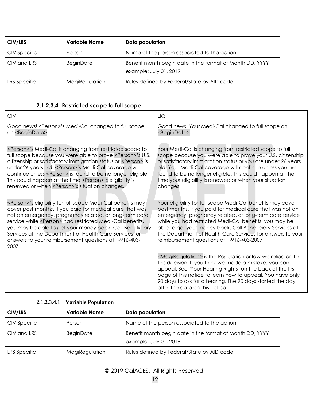| CIV/LRS      | <b>Variable Name</b> | Data population                                                                    |
|--------------|----------------------|------------------------------------------------------------------------------------|
| CIV Specific | Person               | Name of the person associated to the action                                        |
| CIV and LRS  | <b>BeginDate</b>     | Benefit month begin date in the format of Month DD, YYYY<br>example: July 01, 2019 |
| LRS Specific | MagiRegulation       | Rules defined by Federal/State by AID code                                         |

#### **2.1.2.3.4 Restricted scope to full scope**

| <b>CIV</b>                                                                                                                                                                                                                                                                                                                                                                                                                                                                                    | <b>LRS</b>                                                                                                                                                                                                                                                                                                                                                                                                             |
|-----------------------------------------------------------------------------------------------------------------------------------------------------------------------------------------------------------------------------------------------------------------------------------------------------------------------------------------------------------------------------------------------------------------------------------------------------------------------------------------------|------------------------------------------------------------------------------------------------------------------------------------------------------------------------------------------------------------------------------------------------------------------------------------------------------------------------------------------------------------------------------------------------------------------------|
| Good news! <person>'s Medi-Cal changed to full scope<br/>on <begindate>.</begindate></person>                                                                                                                                                                                                                                                                                                                                                                                                 | Good news! Your Medi-Cal changed to full scope on<br><begindate>.</begindate>                                                                                                                                                                                                                                                                                                                                          |
| <person>'s Medi-Cal is changing from restricted scope to<br/>full scope because you were able to prove <person>'s U.S.<br/>citizenship or satisfactory immigration status or <person> is<br/>under 26 years old. &lt; Person&gt;'s Medi-Cal coverage will<br/>continue unless <person> is found to be no longer eligible.<br/>This could happen at the time <person>'s eligibility is<br/>renewed or when <person>'s situation changes.</person></person></person></person></person></person> | Your Medi-Cal is changing from restricted scope to full<br>scope because you were able to prove your U.S. citizenship<br>or satisfactory immigration status or you are under 26 years<br>old. Your Medi-Cal coverage will continue unless you are<br>found to be no longer eligible. This could happen at the<br>time your eligibility is renewed or when your situation<br>changes.                                   |
| <person>'s eligibility for full scope Medi-Cal benefits may<br/>cover past months. If you paid for medical care that was<br/>not an emergency, pregnancy related, or long-term care<br/>service while <person> had restricted Medi-Cal benefits,<br/>you may be able to get your money back. Call Beneficiary<br/>Services at the Department of Health Care Services for<br/>answers to your reimbursement questions at 1-916-403-<br/>2007.</person></person>                                | Your eligibility for full scope Medi-Cal benefits may cover<br>past months. If you paid for medical care that was not an<br>emergency, pregnancy related, or long-term care service<br>while you had restricted Medi-Cal benefits, you may be<br>able to get your money back. Call Beneficiary Services at<br>the Department of Health Care Services for answers to your<br>reimbursement questions at 1-916-403-2007. |
|                                                                                                                                                                                                                                                                                                                                                                                                                                                                                               | <magiregulation> is the Regulation or law we relied on for<br/>this decision. If you think we made a mistake, you can<br/>appeal. See "Your Hearing Rights" on the back of the first<br/>page of this notice to learn how to appeal. You have only<br/>90 days to ask for a hearing. The 90 days started the day<br/>after the date on this notice.</magiregulation>                                                   |

### **2.1.2.3.4.1 Variable Population**

| CIV/LRS      | <b>Variable Name</b> | Data population                                                                    |
|--------------|----------------------|------------------------------------------------------------------------------------|
| CIV Specific | Person               | Name of the person associated to the action                                        |
| CIV and LRS  | <b>BeginDate</b>     | Benefit month begin date in the format of Month DD, YYYY<br>example: July 01, 2019 |
| LRS Specific | MagiRegulation       | Rules defined by Federal/State by AID code                                         |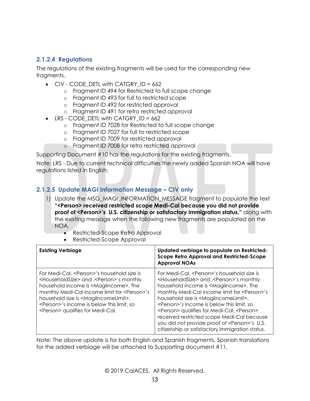## **2.1.2.4 Regulations**

The regulations of the existing fragments will be used for the corresponding new fragments.

- CIV CODE DETL with CATGRY  $ID = 662$ 
	- o Fragment ID 494 for Restricted to full scope change
	- o Fragment ID 493 for full to restricted scope
	- o Fragment ID 492 for restricted approval
	- o Fragment ID 491 for retro restricted approval
- LRS CODE DETL with CATGRY ID = 662
	- o Fragment ID 7028 for Restricted to full scope change
	- o Fragment ID 7027 for full to restricted scope
	- o Fragment ID 7009 for restricted approval
	- o Fragment ID 7008 for retro restricted approval

Supporting Document #10 has the regulations for the existing fragments.

Note: LRS - Due to current technical difficulties the newly added Spanish NOA will have regulations listed in English.

## **2.1.2.5 Update MAGI Information Message – CIV only**

- 1) Update the MSG\_MAGI\_INFORMATION\_MESSAGE fragment to populate the text **"<Person> received restricted scope Medi-Cal because you did not provide proof of <Person>'s U.S. citizenship or satisfactory immigration status."** along with the existing message when the following new fragments are populated on the NOA.
	- Restricted-Scope Retro Approval
	- Restricted-Scope Approval

| <b>Existing Verbiage</b>                                                                                                                                                                                                                                                                                                                                                                                   | Updated verbiage to populate on Restricted-<br><b>Scope Retro Approval and Restricted-Scope</b><br><b>Approval NOAs</b>                                                                                                                                                                                                                                                                                                                                                                                                                                                                   |
|------------------------------------------------------------------------------------------------------------------------------------------------------------------------------------------------------------------------------------------------------------------------------------------------------------------------------------------------------------------------------------------------------------|-------------------------------------------------------------------------------------------------------------------------------------------------------------------------------------------------------------------------------------------------------------------------------------------------------------------------------------------------------------------------------------------------------------------------------------------------------------------------------------------------------------------------------------------------------------------------------------------|
| For Medi-Cal, <person>'s household size is<br/><householdsize> and , <person>'s monthly<br/>household income is <magilncome>. The<br/>monthly Medi-Cal income limit for <person>'s<br/>household size is <magilncomelimit>.<br/><person>'s income is below this limit, so<br/><person> qualifies for Medi-Cal.</person></person></magilncomelimit></person></magilncome></person></householdsize></person> | For Medi-Cal, <person>'s household size is<br/><householdsize> and , <person>'s monthly<br/>household income is <magilncome>. The<br/>monthly Medi-Cal income limit for <person>'s<br/>household size is <magilncomelimit>.<br/><person>'s income is below this limit, so<br/><person> qualifies for Medi-Cal. <person><br/>received restricted scope Medi-Cal because<br/>you did not provide proof of <person>'s U.S.<br/>citizenship or satisfactory immigration status.</person></person></person></person></magilncomelimit></person></magilncome></person></householdsize></person> |

<span id="page-12-0"></span>Note: The above update is for both English and Spanish fragments. Spanish translations for the added verbiage will be attached to Supporting document #11.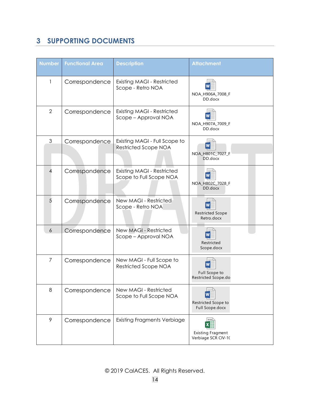## **3 SUPPORTING DOCUMENTS**

| <b>Number</b>  | <b>Functional Area</b> | <b>Description</b>                                           | <b>Attachment</b>                               |
|----------------|------------------------|--------------------------------------------------------------|-------------------------------------------------|
| 1              | Correspondence         | <b>Existing MAGI - Restricted</b><br>Scope - Retro NOA       | NOA_H906A_7008_F<br>DD.docx                     |
| $\overline{2}$ | Correspondence         | <b>Existing MAGI - Restricted</b><br>Scope - Approval NOA    | NOA_H907A_7009_F<br>DD.docx                     |
| 3              | Correspondence         | Existing MAGI - Full Scope to<br>Restricted Scope NOA        | NOA_H801C_7027_F<br>DD.docx                     |
| 4              | Correspondence         | <b>Existing MAGI - Restricted</b><br>Scope to Full Scope NOA | NOA_H802C_7028_F<br>DD.docx                     |
| 5              | Correspondence         | New MAGI - Restricted<br>Scope - Retro NOA                   | <b>Restricted Scope</b><br>Retro.docx           |
| 6              | Correspondence         | New MAGI - Restricted<br>Scope - Approval NOA                | Restricted<br>Scope.docx                        |
| 7              | Correspondence         | New MAGI - Full Scope to<br>Restricted Scope NOA             | <b>Full Scope to</b><br>Restricted Scope.do     |
| 8              | Correspondence         | New MAGI - Restricted<br>Scope to Full Scope NOA             | Restricted Scope to<br>Full Scope.docx          |
| 9              | Correspondence         | <b>Existing Fragments Verbiage</b>                           | <b>Existing Fragment</b><br>Verbiage SCR CIV-10 |